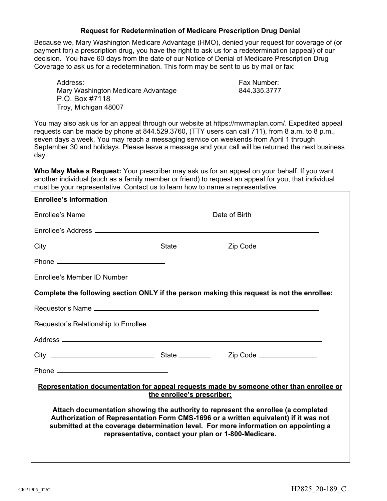## **Request for Redetermination of Medicare Prescription Drug Denial**

Because we, Mary Washington Medicare Advantage (HMO), denied your request for coverage of (or payment for) a prescription drug, you have the right to ask us for a redetermination (appeal) of our decision. You have 60 days from the date of our Notice of Denial of Medicare Prescription Drug Coverage to ask us for a redetermination. This form may be sent to us by mail or fax:

Address: Fax Number: Mary Washington Medicare Advantage 844.335.3777 P.O. Box #7118 Troy, Michigan 48007

You may also ask us for an appeal through our website at https://mwmaplan.com/. Expedited appeal requests can be made by phone at 844.529.3760, (TTY users can call 711), from 8 a.m. to 8 p.m., seven days a week. You may reach a messaging service on weekends from April 1 through September 30 and holidays. Please leave a message and your call will be returned the next business day.

**Who May Make a Request:** Your prescriber may ask us for an appeal on your behalf. If you want another individual (such as a family member or friend) to request an appeal for you, that individual must be your representative. Contact us to learn how to name a representative.

| <b>Enrollee's Information</b>                                                                                                                                                                                                                                                                                            |  |  |  |  |
|--------------------------------------------------------------------------------------------------------------------------------------------------------------------------------------------------------------------------------------------------------------------------------------------------------------------------|--|--|--|--|
|                                                                                                                                                                                                                                                                                                                          |  |  |  |  |
|                                                                                                                                                                                                                                                                                                                          |  |  |  |  |
|                                                                                                                                                                                                                                                                                                                          |  |  |  |  |
|                                                                                                                                                                                                                                                                                                                          |  |  |  |  |
|                                                                                                                                                                                                                                                                                                                          |  |  |  |  |
| Complete the following section ONLY if the person making this request is not the enrollee:                                                                                                                                                                                                                               |  |  |  |  |
|                                                                                                                                                                                                                                                                                                                          |  |  |  |  |
|                                                                                                                                                                                                                                                                                                                          |  |  |  |  |
|                                                                                                                                                                                                                                                                                                                          |  |  |  |  |
|                                                                                                                                                                                                                                                                                                                          |  |  |  |  |
| Phone <u>___________________________________</u>                                                                                                                                                                                                                                                                         |  |  |  |  |
| Representation documentation for appeal requests made by someone other than enrollee or<br>the enrollee's prescriber:                                                                                                                                                                                                    |  |  |  |  |
| Attach documentation showing the authority to represent the enrollee (a completed<br>Authorization of Representation Form CMS-1696 or a written equivalent) if it was not<br>submitted at the coverage determination level. For more information on appointing a<br>representative, contact your plan or 1-800-Medicare. |  |  |  |  |